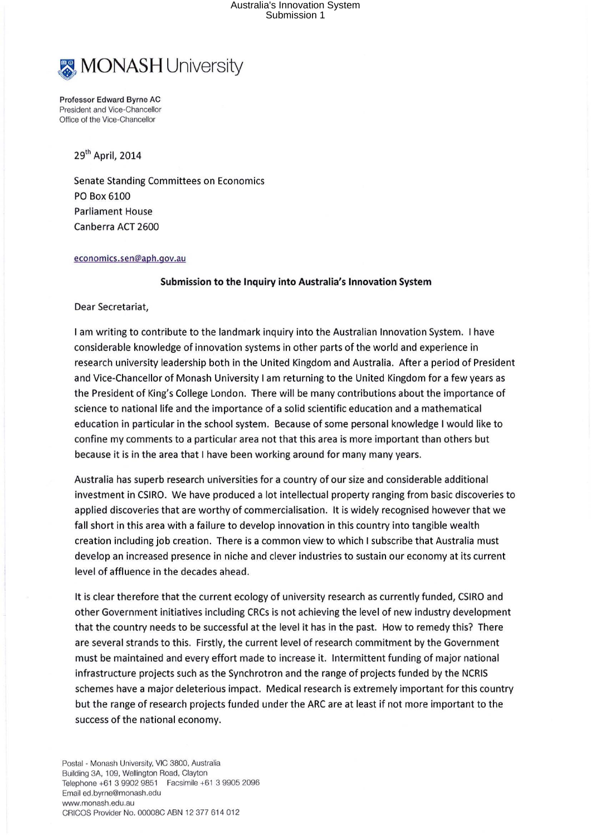## Australia's Innovation System Submission 1



Professor Edward Byrne AC President and Vice-Chancellor Office of the Vice-Chancellor

29th April, 2014

Senate Standing Committees on Economics PO Box 6100 Parliament House Canberra ACT 2600

## economics.sen@aph.gov.au

## **Submission to the Inquiry into Australia's Innovation System**

Dear Secretariat,

I am writing to contribute to the landmark inquiry into the Australian Innovation System. I have considerable knowledge of innovation systems in other parts of the world and experience in research university leadership both in the United Kingdom and Australia. After a period of President and Vice-Chancellor of Monash University I am returning to the United Kingdom for a few years as the President of King's College London. There will be many contributions about the importance of science to national life and the importance of a solid scientific education and a mathematical education in particular in the school system. Because of some personal knowledge I would like to confine my comments to a particular area not that this area is more important than others but because it is in the area that I have been working around for many many years.

Australia has superb research universities for a country of our size and considerable additional investment in CSIRO. We have produced a lot intellectual property ranging from basic discoveries to applied discoveries that are worthy of commercialisation. It is widely recognised however that we fall short in this area with a failure to develop innovation in this country into tangible wealth creation including job creation. There is a common view to which I subscribe that Australia must develop an increased presence in niche and clever industries to sustain our economy at its current level of affluence in the decades ahead.

It is clear therefore that the current ecology of university research as currently funded, CSIRO and other Government initiatives including CRCs is not achieving the level of new industry development that the country needs to be successful at the level it has in the past. How to remedy this? There are several strands to this. Firstly, the current level of research commitment by the Government must be maintained and every effort made to increase it. Intermittent funding of major national infrastructure projects such as the Synchrotron and the range of projects funded by the NCRIS schemes have a major deleterious impact. Medical research is extremely important for this country but the range of research projects funded under the ARC are at least if not more important to the success of the national economy.